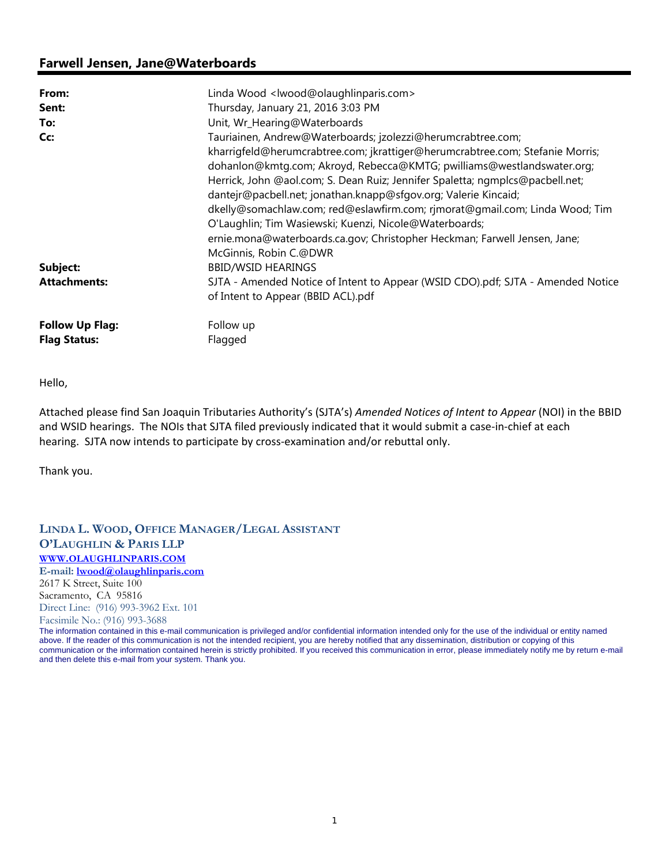# **Farwell Jensen, Jane@Waterboards**

| From:                                         | Linda Wood <lwood@olaughlinparis.com></lwood@olaughlinparis.com>                                                                                                                                                                                                                                                                                                                                                                                                                                                    |
|-----------------------------------------------|---------------------------------------------------------------------------------------------------------------------------------------------------------------------------------------------------------------------------------------------------------------------------------------------------------------------------------------------------------------------------------------------------------------------------------------------------------------------------------------------------------------------|
| Sent:                                         | Thursday, January 21, 2016 3:03 PM                                                                                                                                                                                                                                                                                                                                                                                                                                                                                  |
| To:                                           | Unit, Wr_Hearing@Waterboards                                                                                                                                                                                                                                                                                                                                                                                                                                                                                        |
| Cc:                                           | Tauriainen, Andrew@Waterboards; jzolezzi@herumcrabtree.com;<br>kharrigfeld@herumcrabtree.com; jkrattiger@herumcrabtree.com; Stefanie Morris;<br>dohanlon@kmtg.com; Akroyd, Rebecca@KMTG; pwilliams@westlandswater.org;<br>Herrick, John @aol.com; S. Dean Ruiz; Jennifer Spaletta; ngmplcs@pacbell.net;<br>dantejr@pacbell.net; jonathan.knapp@sfgov.org; Valerie Kincaid;<br>dkelly@somachlaw.com; red@eslawfirm.com; rjmorat@gmail.com; Linda Wood; Tim<br>O'Laughlin; Tim Wasiewski; Kuenzi, Nicole@Waterboards; |
|                                               | ernie.mona@waterboards.ca.gov; Christopher Heckman; Farwell Jensen, Jane;<br>McGinnis, Robin C.@DWR                                                                                                                                                                                                                                                                                                                                                                                                                 |
| Subject:                                      | <b>BBID/WSID HEARINGS</b>                                                                                                                                                                                                                                                                                                                                                                                                                                                                                           |
| <b>Attachments:</b>                           | SJTA - Amended Notice of Intent to Appear (WSID CDO).pdf; SJTA - Amended Notice<br>of Intent to Appear (BBID ACL).pdf                                                                                                                                                                                                                                                                                                                                                                                               |
| <b>Follow Up Flag:</b><br><b>Flag Status:</b> | Follow up<br>Flagged                                                                                                                                                                                                                                                                                                                                                                                                                                                                                                |

Hello,

Attached please find San Joaquin Tributaries Authority's (SJTA's) *Amended Notices of Intent to Appear* (NOI) in the BBID and WSID hearings. The NOIs that SJTA filed previously indicated that it would submit a case-in-chief at each hearing. SJTA now intends to participate by cross-examination and/or rebuttal only.

Thank you.

**LINDA L. WOOD, OFFICE MANAGER/LEGAL ASSISTANT O'LAUGHLIN & PARIS LLP WWW.OLAUGHLINPARIS.COM E-mail: lwood@olaughlinparis.com** 2617 K Street, Suite 100 Sacramento, CA 95816 Direct Line: (916) 993-3962 Ext. 101 Facsimile No.: (916) 993-3688

The information contained in this e-mail communication is privileged and/or confidential information intended only for the use of the individual or entity named above. If the reader of this communication is not the intended recipient, you are hereby notified that any dissemination, distribution or copying of this communication or the information contained herein is strictly prohibited. If you received this communication in error, please immediately notify me by return e-mail and then delete this e-mail from your system. Thank you.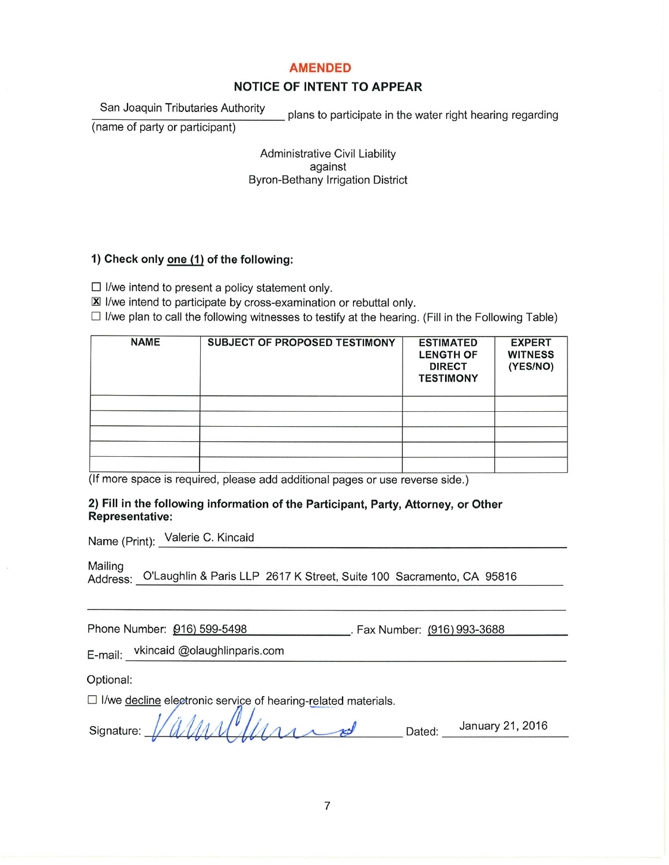### **AMENDED**

# **NOTICE OF INTENT TO APPEAR**

### San Joaquin Tributaries Authority

plans to participate in the water right hearing regarding

(name of party or participant)

**Administrative Civil Liability** against **Byron-Bethany Irrigation District** 

## 1) Check only one (1) of the following:

 $\Box$  I/we intend to present a policy statement only.

X I/we intend to participate by cross-examination or rebuttal only.

 $\Box$  I/we plan to call the following witnesses to testify at the hearing. (Fill in the Following Table)

| <b>NAME</b> | <b>SUBJECT OF PROPOSED TESTIMONY</b> | <b>ESTIMATED</b><br><b>LENGTH OF</b><br><b>DIRECT</b><br><b>TESTIMONY</b> | <b>EXPERT</b><br><b>WITNESS</b><br>(YES/NO) |
|-------------|--------------------------------------|---------------------------------------------------------------------------|---------------------------------------------|
|             |                                      |                                                                           |                                             |
|             |                                      |                                                                           |                                             |
|             |                                      |                                                                           |                                             |
|             |                                      |                                                                           |                                             |
|             |                                      |                                                                           |                                             |

(If more space is required, please add additional pages or use reverse side.)

### 2) Fill in the following information of the Participant, Party, Attorney, or Other **Representative:**

Name (Print): Valerie C. Kincaid

Mailing

Address: O'Laughlin & Paris LLP 2617 K Street, Suite 100 Sacramento, CA 95816

Phone Number: 016) 599-5498 Fax Number: (916) 993-3688

vkincaid @olaughlinparis.com E-mail:

Optional:

□ I/we decline electronic service of hearing-related materials.

| Signature: $1/(\sqrt{111})$ |  |  |  |  |  |  |  |  | <b>Dated</b> | January 21, 2016 |  |
|-----------------------------|--|--|--|--|--|--|--|--|--------------|------------------|--|
|                             |  |  |  |  |  |  |  |  |              |                  |  |

 $\overline{7}$